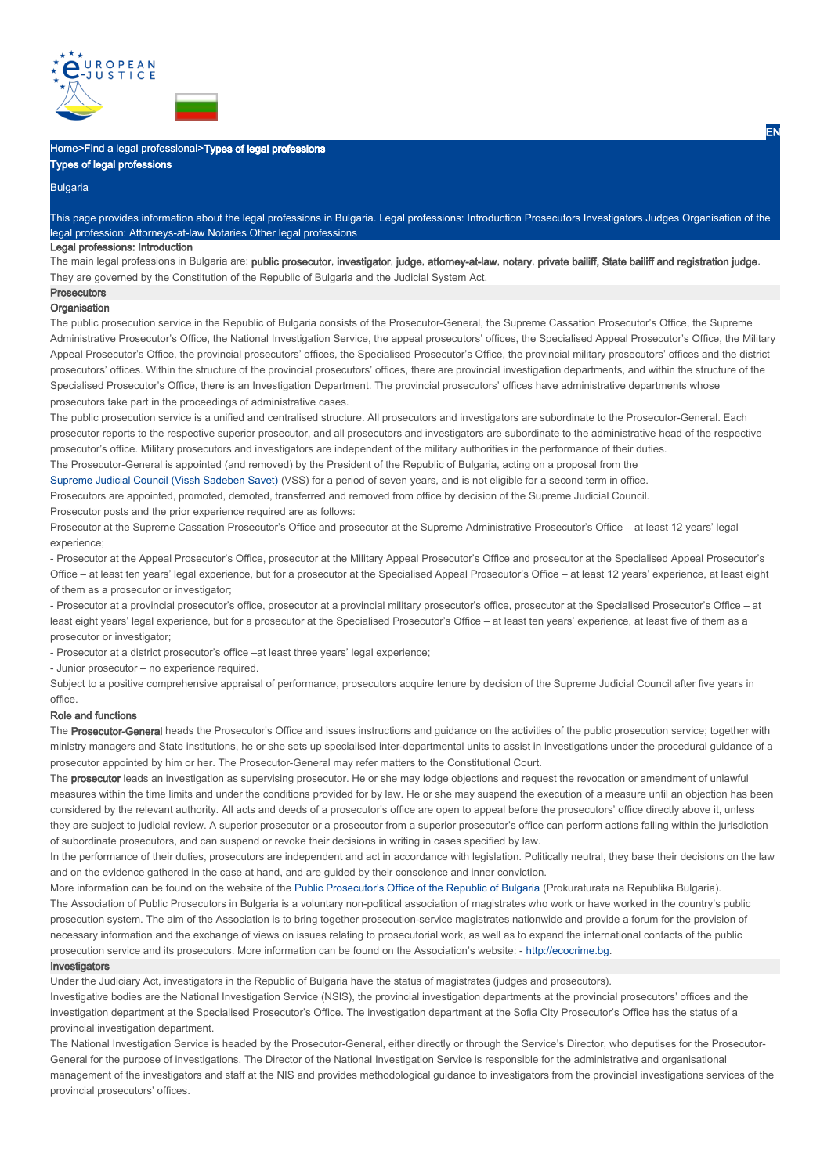



# Types of legal professions

Bulgaria

This page provides information about the legal professions in Bulgaria. Legal professions: Introduction Prosecutors Investigators Judges Organisation of the legal profession: Attorneys-at-law Notaries Other legal professions

# Legal professions: Introduction

The main legal professions in Bulgaria are: public prosecutor, investigator, judge, attorney-at-law, notary, private bailiff, State bailiff and registration judge They are governed by the Constitution of the Republic of Bulgaria and the Judicial System Act.

# **Prosecutors**

**Organisation** 

The public prosecution service in the Republic of Bulgaria consists of the Prosecutor-General, the Supreme Cassation Prosecutor's Office, the Supreme Administrative Prosecutor's Office, the National Investigation Service, the appeal prosecutors' offices, the Specialised Appeal Prosecutor's Office, the Military Appeal Prosecutor's Office, the provincial prosecutors' offices, the Specialised Prosecutor's Office, the provincial military prosecutors' offices and the district prosecutors' offices. Within the structure of the provincial prosecutors' offices, there are provincial investigation departments, and within the structure of the Specialised Prosecutor's Office, there is an Investigation Department. The provincial prosecutors' offices have administrative departments whose prosecutors take part in the proceedings of administrative cases.

The public prosecution service is a unified and centralised structure. All prosecutors and investigators are subordinate to the Prosecutor-General. Each prosecutor reports to the respective superior prosecutor, and all prosecutors and investigators are subordinate to the administrative head of the respective prosecutor's office. Military prosecutors and investigators are independent of the military authorities in the performance of their duties. The Prosecutor-General is appointed (and removed) by the President of the Republic of Bulgaria, acting on a proposal from the

Supreme Judicial Council (Vissh Sadeben Savet) (VSS) for a period of seven years, and is not eligible for a second term in office.

Prosecutors are appointed, promoted, demoted, transferred and removed from office by decision of the Supreme Judicial Council. Prosecutor posts and the prior experience required are as follows:

Prosecutor at the Supreme Cassation Prosecutor's Office and prosecutor at the Supreme Administrative Prosecutor's Office – at least 12 years' legal experience;

- Prosecutor at the Appeal Prosecutor's Office, prosecutor at the Military Appeal Prosecutor's Office and prosecutor at the Specialised Appeal Prosecutor's Office – at least ten years' legal experience, but for a prosecutor at the Specialised Appeal Prosecutor's Office – at least 12 years' experience, at least eight of them as a prosecutor or investigator;

- Prosecutor at a provincial prosecutor's office, prosecutor at a provincial military prosecutor's office, prosecutor at the Specialised Prosecutor's Office – at least eight years' legal experience, but for a prosecutor at the Specialised Prosecutor's Office – at least ten years' experience, at least five of them as a prosecutor or investigator;

- Prosecutor at a district prosecutor's office –at least three years' legal experience;

- Junior prosecutor – no experience required.

Subject to a positive comprehensive appraisal of performance, prosecutors acquire tenure by decision of the Supreme Judicial Council after five years in office.

# Role and functions

The Prosecutor-General heads the Prosecutor's Office and issues instructions and quidance on the activities of the public prosecution service; together with ministry managers and State institutions, he or she sets up specialised inter-departmental units to assist in investigations under the procedural guidance of a prosecutor appointed by him or her. The Prosecutor-General may refer matters to the Constitutional Court.

The prosecutor leads an investigation as supervising prosecutor. He or she may lodge objections and request the revocation or amendment of unlawful measures within the time limits and under the conditions provided for by law. He or she may suspend the execution of a measure until an objection has been considered by the relevant authority. All acts and deeds of a prosecutor's office are open to appeal before the prosecutors' office directly above it, unless they are subject to judicial review. A superior prosecutor or a prosecutor from a superior prosecutor's office can perform actions falling within the jurisdiction of subordinate prosecutors, and can suspend or revoke their decisions in writing in cases specified by law.

In the performance of their duties, prosecutors are independent and act in accordance with legislation. Politically neutral, they base their decisions on the law and on the evidence gathered in the case at hand, and are guided by their conscience and inner conviction.

More information can be found on the website of the Public Prosecutor's Office of the Republic of Bulgaria (Prokuraturata na Republika Bulgaria). The Association of Public Prosecutors in Bulgaria is a voluntary non-political association of magistrates who work or have worked in the country's public prosecution system. The aim of the Association is to bring together prosecution-service magistrates nationwide and provide a forum for the provision of necessary information and the exchange of views on issues relating to prosecutorial work, as well as to expand the international contacts of the public prosecution service and its prosecutors. More information can be found on the Association's website: - http://ecocrime.bg.

#### **Investigators**

Under the Judiciary Act, investigators in the Republic of Bulgaria have the status of magistrates (judges and prosecutors). Investigative bodies are the National Investigation Service (NSlS), the provincial investigation departments at the provincial prosecutors' offices and the investigation department at the Specialised Prosecutor's Office. The investigation department at the Sofia City Prosecutor's Office has the status of a provincial investigation department.

The National Investigation Service is headed by the Prosecutor-General, either directly or through the Service's Director, who deputises for the Prosecutor-General for the purpose of investigations. The Director of the National Investigation Service is responsible for the administrative and organisational management of the investigators and staff at the NIS and provides methodological guidance to investigators from the provincial investigations services of the provincial prosecutors' offices.

EN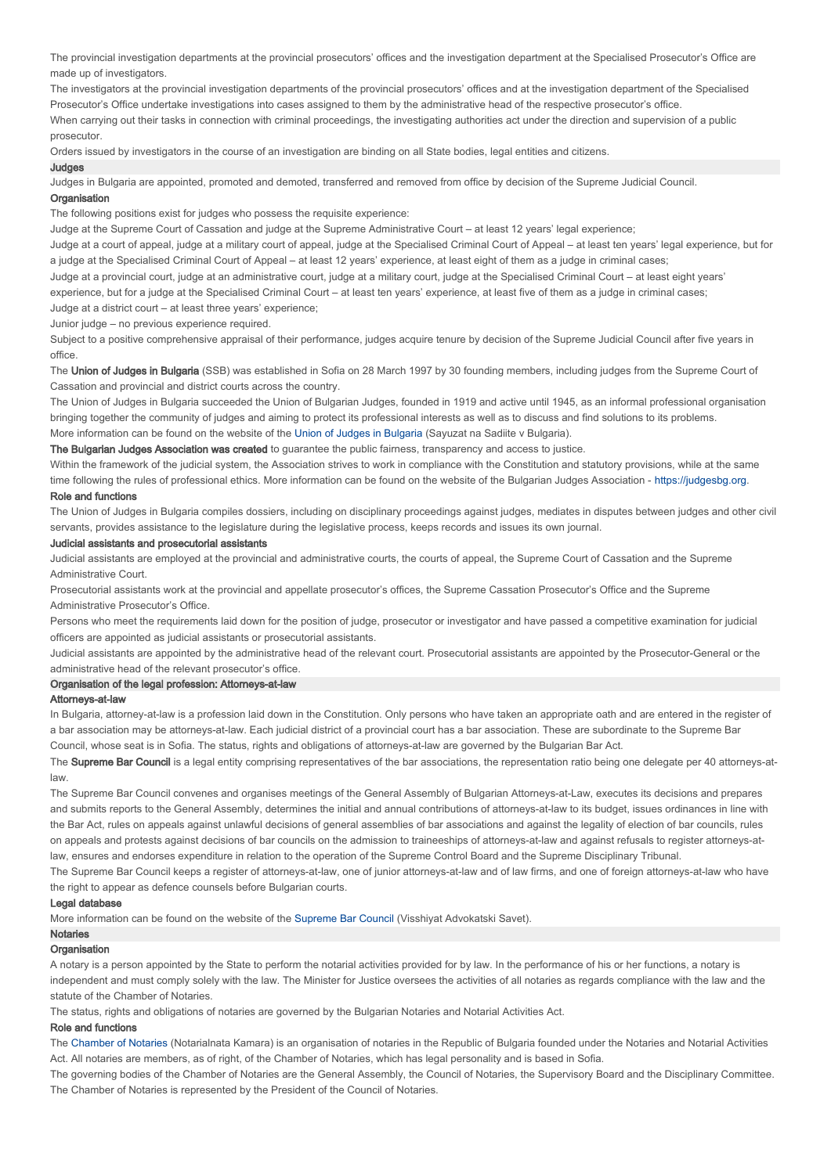The provincial investigation departments at the provincial prosecutors' offices and the investigation department at the Specialised Prosecutor's Office are made up of investigators.

The investigators at the provincial investigation departments of the provincial prosecutors' offices and at the investigation department of the Specialised Prosecutor's Office undertake investigations into cases assigned to them by the administrative head of the respective prosecutor's office. When carrying out their tasks in connection with criminal proceedings, the investigating authorities act under the direction and supervision of a public prosecutor.

Orders issued by investigators in the course of an investigation are binding on all State bodies, legal entities and citizens.

#### **Judges**

Judges in Bulgaria are appointed, promoted and demoted, transferred and removed from office by decision of the Supreme Judicial Council. **Organisation** 

The following positions exist for judges who possess the requisite experience:

Judge at the Supreme Court of Cassation and judge at the Supreme Administrative Court – at least 12 years' legal experience;

Judge at a court of appeal, judge at a military court of appeal, judge at the Specialised Criminal Court of Appeal – at least ten years' legal experience, but for a judge at the Specialised Criminal Court of Appeal – at least 12 years' experience, at least eight of them as a judge in criminal cases;

Judge at a provincial court, judge at an administrative court, judge at a military court, judge at the Specialised Criminal Court – at least eight years'

experience, but for a judge at the Specialised Criminal Court – at least ten years' experience, at least five of them as a judge in criminal cases;

Judge at a district court – at least three years' experience;

Junior judge – no previous experience required.

Subject to a positive comprehensive appraisal of their performance, judges acquire tenure by decision of the Supreme Judicial Council after five years in office.

The Union of Judges in Bulgaria (SSB) was established in Sofia on 28 March 1997 by 30 founding members, including judges from the Supreme Court of Cassation and provincial and district courts across the country.

The Union of Judges in Bulgaria succeeded the Union of Bulgarian Judges, founded in 1919 and active until 1945, as an informal professional organisation bringing together the community of judges and aiming to protect its professional interests as well as to discuss and find solutions to its problems. More information can be found on the website of the Union of Judges in Bulgaria (Sayuzat na Sadiite v Bulgaria).

The Bulgarian Judges Association was created to guarantee the public fairness, transparency and access to justice.

Within the framework of the judicial system, the Association strives to work in compliance with the Constitution and statutory provisions, while at the same time following the rules of professional ethics. More information can be found on the website of the Bulgarian Judges Association - https://judgesbg.org.

# Role and functions

The Union of Judges in Bulgaria compiles dossiers, including on disciplinary proceedings against judges, mediates in disputes between judges and other civil servants, provides assistance to the legislature during the legislative process, keeps records and issues its own journal.

# Judicial assistants and prosecutorial assistants

Judicial assistants are employed at the provincial and administrative courts, the courts of appeal, the Supreme Court of Cassation and the Supreme Administrative Court.

Prosecutorial assistants work at the provincial and appellate prosecutor's offices, the Supreme Cassation Prosecutor's Office and the Supreme Administrative Prosecutor's Office.

Persons who meet the requirements laid down for the position of judge, prosecutor or investigator and have passed a competitive examination for judicial officers are appointed as judicial assistants or prosecutorial assistants.

Judicial assistants are appointed by the administrative head of the relevant court. Prosecutorial assistants are appointed by the Prosecutor-General or the administrative head of the relevant prosecutor's office.

# Organisation of the legal profession: Attorneys-at-law

# Attorneys-at-law

In Bulgaria, attorney-at-law is a profession laid down in the Constitution. Only persons who have taken an appropriate oath and are entered in the register of a bar association may be attorneys-at-law. Each judicial district of a provincial court has a bar association. These are subordinate to the Supreme Bar Council, whose seat is in Sofia. The status, rights and obligations of attorneys-at-law are governed by the Bulgarian Bar Act.

The Supreme Bar Council is a legal entity comprising representatives of the bar associations, the representation ratio being one delegate per 40 attorneys-atlaw.

The Supreme Bar Council convenes and organises meetings of the General Assembly of Bulgarian Attorneys-at-Law, executes its decisions and prepares and submits reports to the General Assembly, determines the initial and annual contributions of attorneys-at-law to its budget, issues ordinances in line with the Bar Act, rules on appeals against unlawful decisions of general assemblies of bar associations and against the legality of election of bar councils, rules on appeals and protests against decisions of bar councils on the admission to traineeships of attorneys-at-law and against refusals to register attorneys-atlaw, ensures and endorses expenditure in relation to the operation of the Supreme Control Board and the Supreme Disciplinary Tribunal.

The Supreme Bar Council keeps a register of attorneys-at-law, one of junior attorneys-at-law and of law firms, and one of foreign attorneys-at-law who have the right to appear as defence counsels before Bulgarian courts.

#### Legal database

More information can be found on the website of the Supreme Bar Council (Visshiyat Advokatski Savet).

# Notaries

**Organisation** 

A notary is a person appointed by the State to perform the notarial activities provided for by law. In the performance of his or her functions, a notary is independent and must comply solely with the law. The Minister for Justice oversees the activities of all notaries as regards compliance with the law and the statute of the Chamber of Notaries.

The status, rights and obligations of notaries are governed by the Bulgarian Notaries and Notarial Activities Act.

#### Role and functions

The Chamber of Notaries (Notarialnata Kamara) is an organisation of notaries in the Republic of Bulgaria founded under the Notaries and Notarial Activities Act. All notaries are members, as of right, of the Chamber of Notaries, which has legal personality and is based in Sofia.

The governing bodies of the Chamber of Notaries are the General Assembly, the Council of Notaries, the Supervisory Board and the Disciplinary Committee. The Chamber of Notaries is represented by the President of the Council of Notaries.